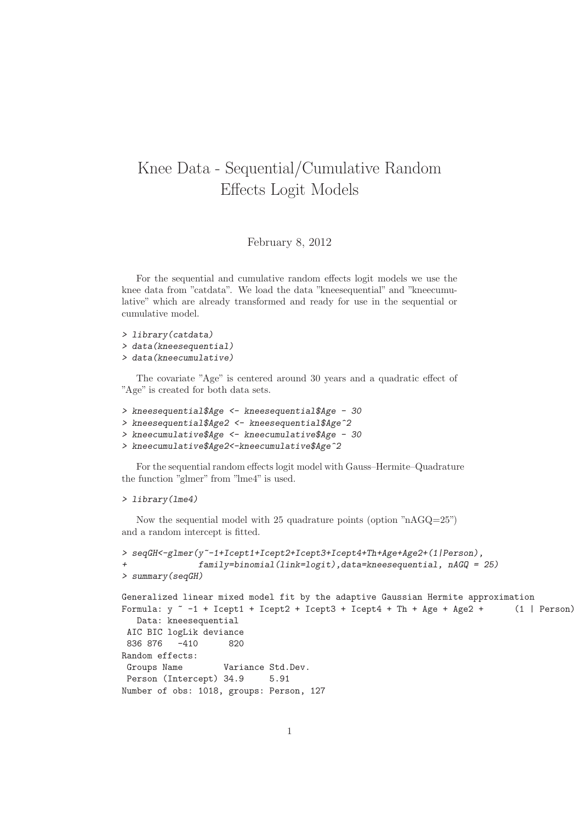## Knee Data - Sequential/Cumulative Random Effects Logit Models

February 8, 2012

For the sequential and cumulative random effects logit models we use the knee data from "catdata". We load the data "kneesequential" and "kneecumulative" which are already transformed and ready for use in the sequential or cumulative model.

```
> library(catdata)
```
- > data(kneesequential)
- > data(kneecumulative)

The covariate "Age" is centered around 30 years and a quadratic effect of "Age" is created for both data sets.

```
> kneesequential$Age <- kneesequential$Age - 30
```
- > kneesequential\$Age2 <- kneesequential\$Age^2
- > kneecumulative\$Age <- kneecumulative\$Age 30

```
> kneecumulative$Age2<-kneecumulative$Age^2
```
For the sequential random effects logit model with Gauss–Hermite–Quadrature the function "glmer" from "lme4" is used.

## > library(lme4)

Now the sequential model with 25 quadrature points (option "nAGQ=25") and a random intercept is fitted.

```
> seqGH<-glmer(y<sup>--1+Icept1+Icept2+Icept3+Icept4+Th+Age+Age2+(1|Person),</sup>
              family=binomial(link=logit),data=kneesequential, nAGQ = 25)
> summary(seqGH)
Generalized linear mixed model fit by the adaptive Gaussian Hermite approximation
Formula: y -1 + Icept1 + Icept2 + Icept3 + Icept4 + Th + Age + Age2 + (1 | Person)
  Data: kneesequential
AIC BIC logLik deviance
836 876 -410 820
Random effects:
Groups Name Variance Std.Dev.
Person (Intercept) 34.9 5.91
Number of obs: 1018, groups: Person, 127
```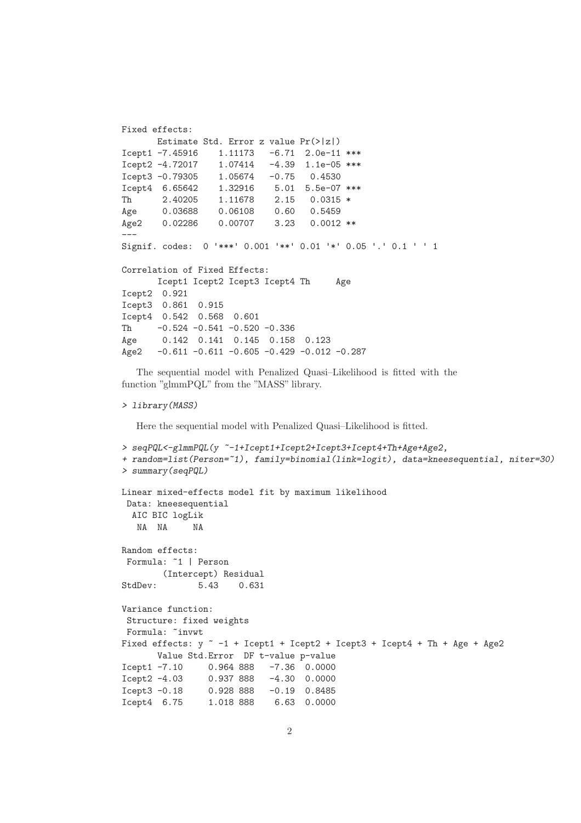```
Fixed effects:
      Estimate Std. Error z value Pr(>|z|)
Icept1 -7.45916    1.11173    -6.71    2.0e-11 ***<br>Icept2 -4.72017    1.07414    -4.39    1.1e-05 ***
Icept2 -4.72017 1.07414 -4.39 1.1e-05 ***
Icept3 -0.79305 1.05674 -0.75 0.4530
Icept4 6.65642 1.32916 5.01 5.5e-07 ***
Th  2.40205  1.11678  2.15  0.0315 *
Age  0.03688  0.06108  0.60  0.5459
Age2 0.02286 0.00707 3.23 0.0012 **
---
Signif. codes: 0 '***' 0.001 '**' 0.01 '*' 0.05 '.' 0.1 ' ' 1
Correlation of Fixed Effects:
      Icept1 Icept2 Icept3 Icept4 Th Age
Icept2 0.921
Icept3 0.861 0.915
Icept4 0.542 0.568 0.601
Th -0.524 -0.541 -0.520 -0.336Age 0.142 0.141 0.145 0.158 0.123
Age2 -0.611 -0.611 -0.605 -0.429 -0.012 -0.287
```
The sequential model with Penalized Quasi–Likelihood is fitted with the function "glmmPQL" from the "MASS" library.

## > library(MASS)

Here the sequential model with Penalized Quasi–Likelihood is fitted.

```
> seqPQL<-glmmPQL(y ~-1+Icept1+Icept2+Icept3+Icept4+Th+Age+Age2,
+ random=list(Person=~1), family=binomial(link=logit), data=kneesequential, niter=30)
> summary(seqPQL)
Linear mixed-effects model fit by maximum likelihood
Data: kneesequential
 AIC BIC logLik
  NA NA NA
Random effects:
Formula: ~1 | Person
       (Intercept) Residual
StdDev: 5.43 0.631
Variance function:
Structure: fixed weights
Formula: ~invwt
Fixed effects: y -1 + Icept1 + Icept2 + Icept3 + Icept4 + Th + Age + Age2
      Value Std.Error DF t-value p-value
Icept1 -7.10 0.964 888 -7.36 0.0000
Icept2 -4.03 0.937 888 -4.30 0.0000
Icept3 -0.18 0.928 888 -0.19 0.8485
Icept4 6.75 1.018 888 6.63 0.0000
```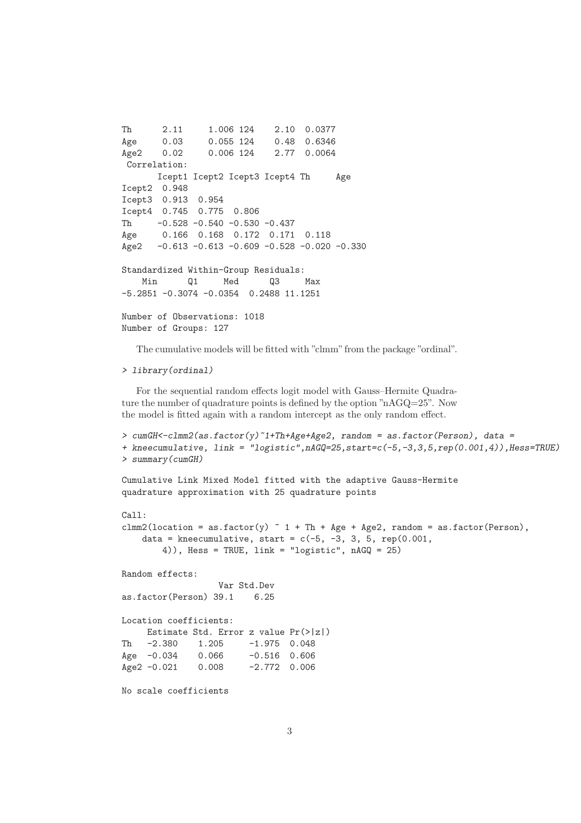```
Th 2.11 1.006 124 2.10 0.0377
Age 0.03 0.055 124 0.48 0.6346
Age2 0.02 0.006 124 2.77 0.0064
Correlation:
      Icept1 Icept2 Icept3 Icept4 Th Age
Icept2 0.948
Icept3 0.913 0.954
Icept4 0.745 0.775 0.806
Th -0.528 -0.540 -0.530 -0.437
Age 0.166 0.168 0.172 0.171 0.118
Age2 -0.613 -0.613 -0.609 -0.528 -0.020 -0.330
Standardized Within-Group Residuals:
   Min Q1 Med Q3 Max
-5.2851 -0.3074 -0.0354 0.2488 11.1251
Number of Observations: 1018
Number of Groups: 127
```
The cumulative models will be fitted with "clmm" from the package "ordinal".

## > library(ordinal)

For the sequential random effects logit model with Gauss–Hermite Quadrature the number of quadrature points is defined by the option "nAGQ=25". Now the model is fitted again with a random intercept as the only random effect.

```
> cumGH<-clmm2(as.factor(y)^1+Th+Age+Age2, random = as.factor(Person), data =+ kneecumulative, link = "logistic",nAGQ=25,start=c(-5,-3,3,5,rep(0.001,4)),Hess=TRUE)
> summary(cumGH)
```

```
Cumulative Link Mixed Model fitted with the adaptive Gauss-Hermite
quadrature approximation with 25 quadrature points
```

```
Call:
clmm2(location = as.factor(y) \tilde{} 1 + Th + Age + Age2, random = as.factor(Person),
    data = kneecumulative, start = c(-5, -3, 3, 5, rep(0.001,4)), Hess = TRUE, link = "logistic", nAGQ = 25)
```
Random effects:

```
Var Std.Dev
as.factor(Person) 39.1 6.25
```

```
Location coefficients:
    Estimate Std. Error z value Pr(>|z|)
Th -2.380 1.205 -1.975 0.048
Age -0.034 0.066 -0.516 0.606
Age2 -0.021 0.008 -2.772 0.006
```
No scale coefficients